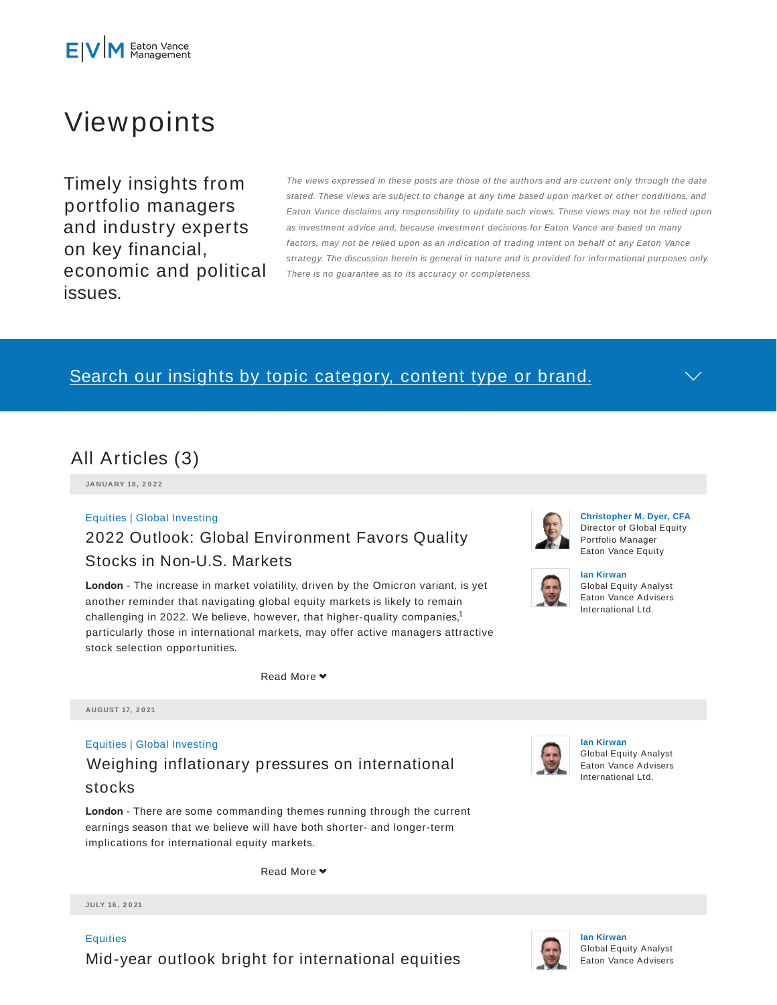

# Viewpoints

Timely insights from portfolio managers and industry experts on key financial, economic and political issues.

The views expressed in these posts are those of the authors and are current only through the date stated. These views are subject to change at any time based upon market or other conditions, and Eaton Vance disclaims any responsibility to update such views. These views may not be relied upon as investment advice and, because investment decisions for Eaton Vance are based on many factors, may not be relied upon as an indication of trading intent on behalf of any Eaton Vance strategy. The discussion herein is general in nature and is provided for informational purposes only. There is no guarantee as to its accuracy or completeness.

## Search our insights by topic category, content type or brand.

## All Articles (3)

**JA N UA RY 18 , 2 0 2 2**

## Equities | Global Investing 2022 Outlook: Global Environment Favors Quality Stocks in Non-U.S. Markets

**London** - The increase in market volatility, driven by the Omicron variant, is yet another reminder that navigating global equity markets is likely to remain challenging in 2022. We believe, however, that higher-quality companies,<sup>1</sup> particularly those in international markets, may offer active managers attractive stock selection opportunities.

Read More **▼** 

**AUGUST 17, 2 0 21**

## Equities | Global Investing Weighing inflationary pressures on international

### stocks

**London** - There are some commanding themes running through the current earnings season that we believe will have both shorter- and longer-term implications for international equity markets.

Read More ♥

**JULY 16 , 2 0 21**

**Equities** Mid-year outlook bright for international equities



### **Christopher M. Dyer, CFA** Director of Global Equity Portfolio Manager Eaton Vance Equity



#### **Ian Kirwan** Global Equity Analyst Eaton Vance Advisers International Ltd.



**Ian Kirwan** Global Equity Analyst Eaton Vance Advisers International Ltd.